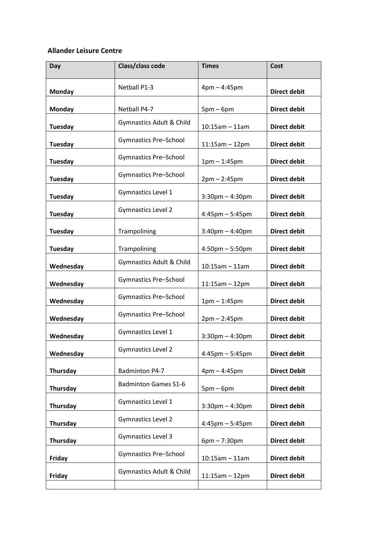## **Allander Leisure Centre**

| Day            | Class/class code             | <b>Times</b>          | Cost                |
|----------------|------------------------------|-----------------------|---------------------|
| <b>Monday</b>  | Netball P1-3                 | $4pm - 4:45pm$        | <b>Direct debit</b> |
| <b>Monday</b>  | Netball P4-7                 | $5pm-6pm$             | <b>Direct debit</b> |
| <b>Tuesday</b> | Gymnastics Adult & Child     | $10:15am - 11am$      | <b>Direct debit</b> |
| <b>Tuesday</b> | Gymnastics Pre-School        | $11:15am - 12pm$      | <b>Direct debit</b> |
| <b>Tuesday</b> | Gymnastics Pre-School        | $1pm - 1:45pm$        | <b>Direct debit</b> |
| <b>Tuesday</b> | <b>Gymnastics Pre-School</b> | $2pm - 2:45pm$        | <b>Direct debit</b> |
| <b>Tuesday</b> | Gymnastics Level 1           | $3:30$ pm $-4:30$ pm  | <b>Direct debit</b> |
| <b>Tuesday</b> | <b>Gymnastics Level 2</b>    | $4:45$ pm $-5:45$ pm  | <b>Direct debit</b> |
| <b>Tuesday</b> | Trampolining                 | $3:40$ pm $- 4:40$ pm | <b>Direct debit</b> |
| <b>Tuesday</b> | Trampolining                 | $4:50$ pm $-5:50$ pm  | <b>Direct debit</b> |
| Wednesday      | Gymnastics Adult & Child     | $10:15am - 11am$      | <b>Direct debit</b> |
| Wednesday      | <b>Gymnastics Pre-School</b> | $11:15am - 12pm$      | <b>Direct debit</b> |
| Wednesday      | Gymnastics Pre-School        | $1pm - 1:45pm$        | <b>Direct debit</b> |
| Wednesday      | <b>Gymnastics Pre-School</b> | $2pm - 2:45pm$        | <b>Direct debit</b> |
| Wednesday      | Gymnastics Level 1           | $3:30$ pm $-4:30$ pm  | <b>Direct debit</b> |
| Wednesday      | <b>Gymnastics Level 2</b>    | $4:45$ pm $-5:45$ pm  | <b>Direct debit</b> |
| Thursday       | <b>Badminton P4-7</b>        | $4pm - 4:45pm$        | <b>Direct Debit</b> |
| Thursday       | <b>Badminton Games S1-6</b>  | $5pm-6pm$             | <b>Direct debit</b> |
| Thursday       | Gymnastics Level 1           | $3:30$ pm $-4:30$ pm  | <b>Direct debit</b> |
| Thursday       | <b>Gymnastics Level 2</b>    | $4:45$ pm $-5:45$ pm  | <b>Direct debit</b> |
| Thursday       | <b>Gymnastics Level 3</b>    | $6pm - 7:30pm$        | <b>Direct debit</b> |
| Friday         | <b>Gymnastics Pre-School</b> | $10:15am - 11am$      | <b>Direct debit</b> |
| Friday         | Gymnastics Adult & Child     | $11:15am - 12pm$      | <b>Direct debit</b> |